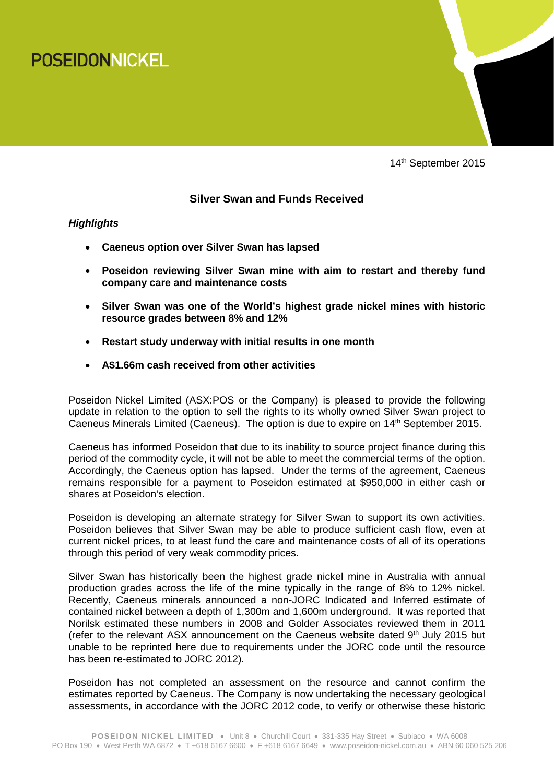



14<sup>th</sup> September 2015

# **Silver Swan and Funds Received**

## *Highlights*

- **Caeneus option over Silver Swan has lapsed**
- **Poseidon reviewing Silver Swan mine with aim to restart and thereby fund company care and maintenance costs**
- **Silver Swan was one of the World's highest grade nickel mines with historic resource grades between 8% and 12%**
- **Restart study underway with initial results in one month**
- **A\$1.66m cash received from other activities**

Poseidon Nickel Limited (ASX:POS or the Company) is pleased to provide the following update in relation to the option to sell the rights to its wholly owned Silver Swan project to Caeneus Minerals Limited (Caeneus). The option is due to expire on 14<sup>th</sup> September 2015.

Caeneus has informed Poseidon that due to its inability to source project finance during this period of the commodity cycle, it will not be able to meet the commercial terms of the option. Accordingly, the Caeneus option has lapsed. Under the terms of the agreement, Caeneus remains responsible for a payment to Poseidon estimated at \$950,000 in either cash or shares at Poseidon's election.

Poseidon is developing an alternate strategy for Silver Swan to support its own activities. Poseidon believes that Silver Swan may be able to produce sufficient cash flow, even at current nickel prices, to at least fund the care and maintenance costs of all of its operations through this period of very weak commodity prices.

Silver Swan has historically been the highest grade nickel mine in Australia with annual production grades across the life of the mine typically in the range of 8% to 12% nickel. Recently, Caeneus minerals announced a non-JORC Indicated and Inferred estimate of contained nickel between a depth of 1,300m and 1,600m underground. It was reported that Norilsk estimated these numbers in 2008 and Golder Associates reviewed them in 2011 (refer to the relevant ASX announcement on the Caeneus website dated  $9<sup>th</sup>$  July 2015 but unable to be reprinted here due to requirements under the JORC code until the resource has been re-estimated to JORC 2012).

Poseidon has not completed an assessment on the resource and cannot confirm the estimates reported by Caeneus. The Company is now undertaking the necessary geological assessments, in accordance with the JORC 2012 code, to verify or otherwise these historic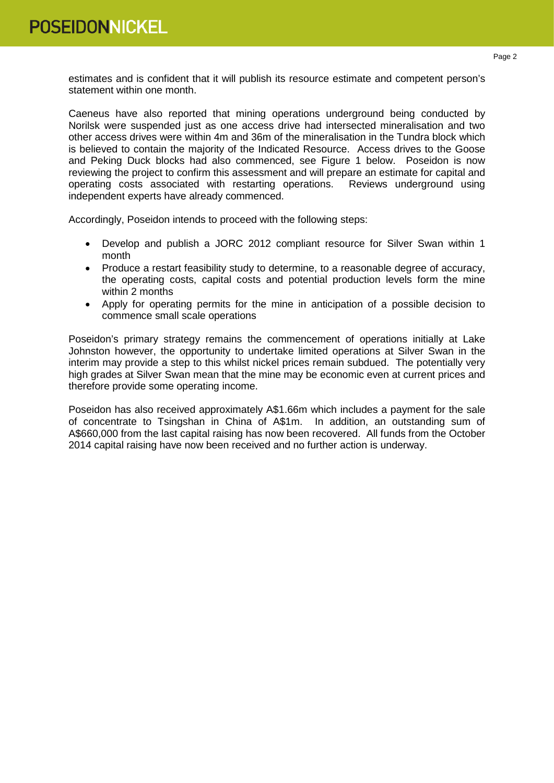estimates and is confident that it will publish its resource estimate and competent person's statement within one month.

Caeneus have also reported that mining operations underground being conducted by Norilsk were suspended just as one access drive had intersected mineralisation and two other access drives were within 4m and 36m of the mineralisation in the Tundra block which is believed to contain the majority of the Indicated Resource. Access drives to the Goose and Peking Duck blocks had also commenced, see Figure 1 below. Poseidon is now reviewing the project to confirm this assessment and will prepare an estimate for capital and operating costs associated with restarting operations. Reviews underground using independent experts have already commenced.

Accordingly, Poseidon intends to proceed with the following steps:

- Develop and publish a JORC 2012 compliant resource for Silver Swan within 1 month
- Produce a restart feasibility study to determine, to a reasonable degree of accuracy, the operating costs, capital costs and potential production levels form the mine within 2 months
- Apply for operating permits for the mine in anticipation of a possible decision to commence small scale operations

Poseidon's primary strategy remains the commencement of operations initially at Lake Johnston however, the opportunity to undertake limited operations at Silver Swan in the interim may provide a step to this whilst nickel prices remain subdued. The potentially very high grades at Silver Swan mean that the mine may be economic even at current prices and therefore provide some operating income.

Poseidon has also received approximately A\$1.66m which includes a payment for the sale of concentrate to Tsingshan in China of A\$1m. In addition, an outstanding sum of A\$660,000 from the last capital raising has now been recovered. All funds from the October 2014 capital raising have now been received and no further action is underway.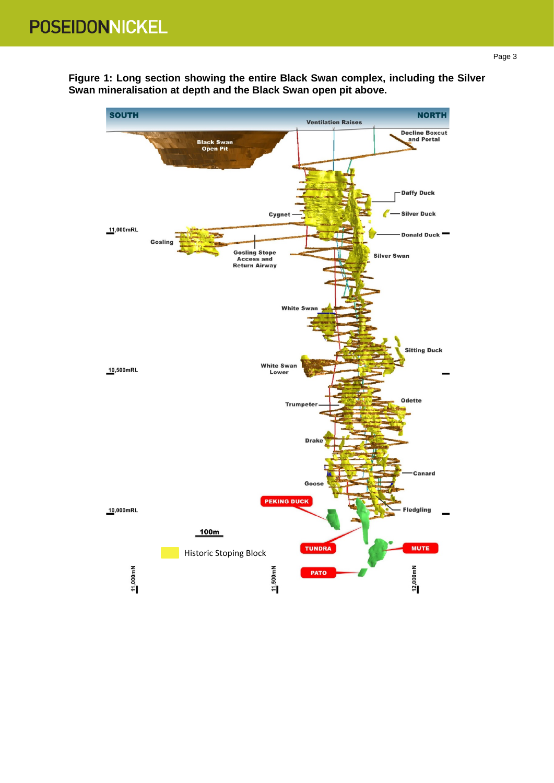**Figure 1: Long section showing the entire Black Swan complex, including the Silver Swan mineralisation at depth and the Black Swan open pit above.**